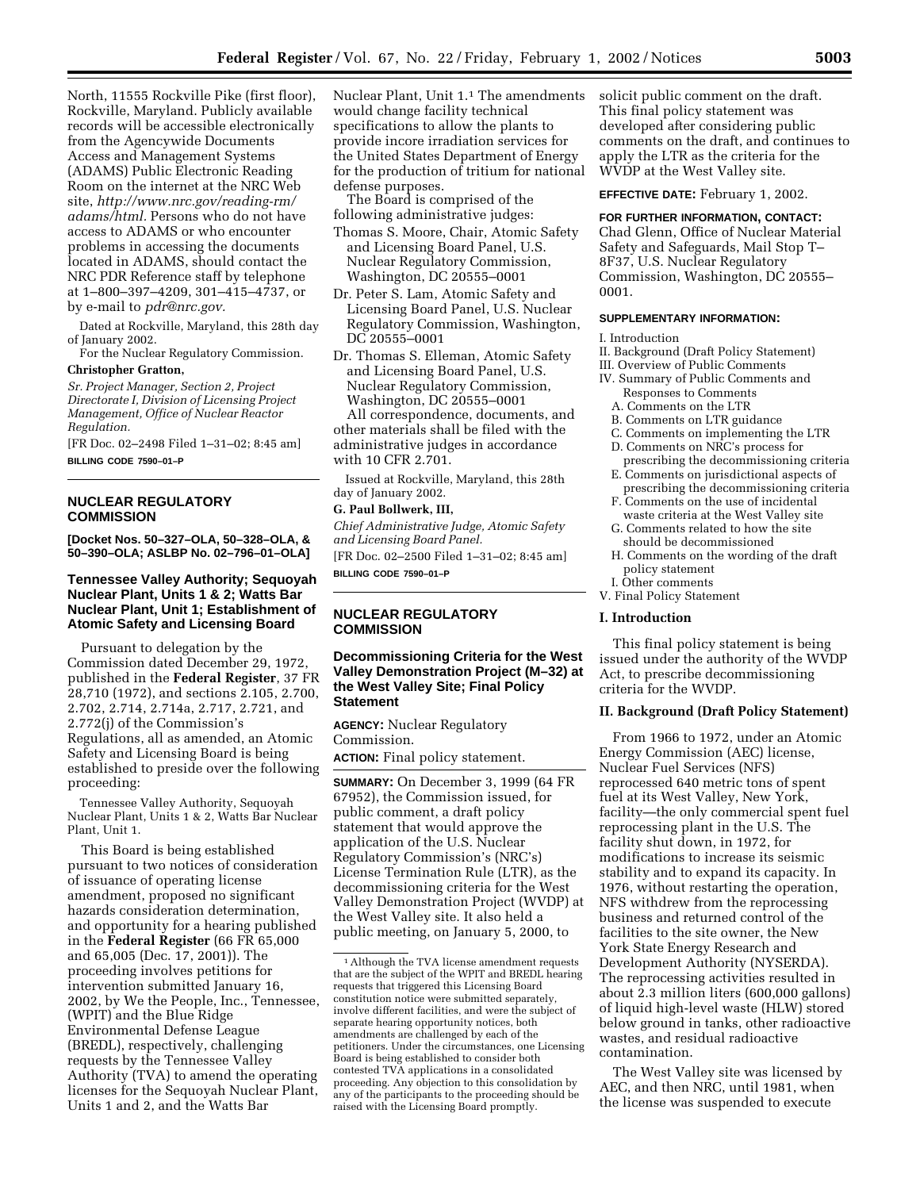North, 11555 Rockville Pike (first floor), Rockville, Maryland. Publicly available records will be accessible electronically from the Agencywide Documents Access and Management Systems (ADAMS) Public Electronic Reading Room on the internet at the NRC Web site, *http://www.nrc.gov/reading-rm/ adams/html.* Persons who do not have access to ADAMS or who encounter problems in accessing the documents located in ADAMS, should contact the NRC PDR Reference staff by telephone at 1–800–397–4209, 301–415–4737, or by e-mail to *pdr@nrc.gov.*

Dated at Rockville, Maryland, this 28th day of January 2002.

For the Nuclear Regulatory Commission. **Christopher Gratton,**

*Sr. Project Manager, Section 2, Project Directorate I, Division of Licensing Project Management, Office of Nuclear Reactor Regulation.*

[FR Doc. 02–2498 Filed 1–31–02; 8:45 am] **BILLING CODE 7590–01–P**

## **NUCLEAR REGULATORY COMMISSION**

**[Docket Nos. 50–327–OLA, 50–328–OLA, & 50–390–OLA; ASLBP No. 02–796–01–OLA]**

# **Tennessee Valley Authority; Sequoyah Nuclear Plant, Units 1 & 2; Watts Bar Nuclear Plant, Unit 1; Establishment of Atomic Safety and Licensing Board**

Pursuant to delegation by the Commission dated December 29, 1972, published in the **Federal Register**, 37 FR 28,710 (1972), and sections 2.105, 2.700, 2.702, 2.714, 2.714a, 2.717, 2.721, and 2.772(j) of the Commission's Regulations, all as amended, an Atomic Safety and Licensing Board is being established to preside over the following proceeding:

Tennessee Valley Authority, Sequoyah Nuclear Plant, Units 1 & 2, Watts Bar Nuclear Plant, Unit 1.

This Board is being established pursuant to two notices of consideration of issuance of operating license amendment, proposed no significant hazards consideration determination, and opportunity for a hearing published in the **Federal Register** (66 FR 65,000 and 65,005 (Dec. 17, 2001)). The proceeding involves petitions for intervention submitted January 16, 2002, by We the People, Inc., Tennessee, (WPIT) and the Blue Ridge Environmental Defense League (BREDL), respectively, challenging requests by the Tennessee Valley Authority (TVA) to amend the operating licenses for the Sequoyah Nuclear Plant, Units 1 and 2, and the Watts Bar

Nuclear Plant, Unit 1.1 The amendments would change facility technical specifications to allow the plants to provide incore irradiation services for the United States Department of Energy for the production of tritium for national defense purposes.

The Board is comprised of the following administrative judges:

- Thomas S. Moore, Chair, Atomic Safety and Licensing Board Panel, U.S. Nuclear Regulatory Commission, Washington, DC 20555–0001
- Dr. Peter S. Lam, Atomic Safety and Licensing Board Panel, U.S. Nuclear Regulatory Commission, Washington, DC 20555–0001
- Dr. Thomas S. Elleman, Atomic Safety and Licensing Board Panel, U.S. Nuclear Regulatory Commission, Washington, DC 20555–0001

All correspondence, documents, and other materials shall be filed with the administrative judges in accordance with 10 CFR 2.701.

Issued at Rockville, Maryland, this 28th day of January 2002.

## **G. Paul Bollwerk, III,**

*Chief Administrative Judge, Atomic Safety and Licensing Board Panel.* [FR Doc. 02–2500 Filed 1–31–02; 8:45 am]

**BILLING CODE 7590–01–P**

## **NUCLEAR REGULATORY COMMISSION**

## **Decommissioning Criteria for the West Valley Demonstration Project (M–32) at the West Valley Site; Final Policy Statement**

**AGENCY:** Nuclear Regulatory Commission.

**ACTION:** Final policy statement.

**SUMMARY:** On December 3, 1999 (64 FR 67952), the Commission issued, for public comment, a draft policy statement that would approve the application of the U.S. Nuclear Regulatory Commission's (NRC's) License Termination Rule (LTR), as the decommissioning criteria for the West Valley Demonstration Project (WVDP) at the West Valley site. It also held a public meeting, on January 5, 2000, to

solicit public comment on the draft. This final policy statement was developed after considering public comments on the draft, and continues to apply the LTR as the criteria for the WVDP at the West Valley site.

**EFFECTIVE DATE:** February 1, 2002.

#### **FOR FURTHER INFORMATION, CONTACT:**

Chad Glenn, Office of Nuclear Material Safety and Safeguards, Mail Stop T– 8F37, U.S. Nuclear Regulatory Commission, Washington, DC 20555– 0001.

## **SUPPLEMENTARY INFORMATION:**

I. Introduction

- II. Background (Draft Policy Statement)
- III. Overview of Public Comments
- IV. Summary of Public Comments and Responses to Comments
	- A. Comments on the LTR
	- B. Comments on LTR guidance
	- C. Comments on implementing the LTR D. Comments on NRC's process for
	- prescribing the decommissioning criteria
	- E. Comments on jurisdictional aspects of prescribing the decommissioning criteria
	- F. Comments on the use of incidental waste criteria at the West Valley site
	- G. Comments related to how the site should be decommissioned
	- H. Comments on the wording of the draft policy statement
	- I. Other comments
- V. Final Policy Statement

## **I. Introduction**

This final policy statement is being issued under the authority of the WVDP Act, to prescribe decommissioning criteria for the WVDP.

# **II. Background (Draft Policy Statement)**

From 1966 to 1972, under an Atomic Energy Commission (AEC) license, Nuclear Fuel Services (NFS) reprocessed 640 metric tons of spent fuel at its West Valley, New York, facility—the only commercial spent fuel reprocessing plant in the U.S. The facility shut down, in 1972, for modifications to increase its seismic stability and to expand its capacity. In 1976, without restarting the operation, NFS withdrew from the reprocessing business and returned control of the facilities to the site owner, the New York State Energy Research and Development Authority (NYSERDA). The reprocessing activities resulted in about 2.3 million liters (600,000 gallons) of liquid high-level waste (HLW) stored below ground in tanks, other radioactive wastes, and residual radioactive contamination.

The West Valley site was licensed by AEC, and then NRC, until 1981, when the license was suspended to execute

<sup>1</sup>Although the TVA license amendment requests that are the subject of the WPIT and BREDL hearing requests that triggered this Licensing Board constitution notice were submitted separately, involve different facilities, and were the subject of separate hearing opportunity notices, both amendments are challenged by each of the petitioners. Under the circumstances, one Licensing Board is being established to consider both contested TVA applications in a consolidated proceeding. Any objection to this consolidation by any of the participants to the proceeding should be raised with the Licensing Board promptly.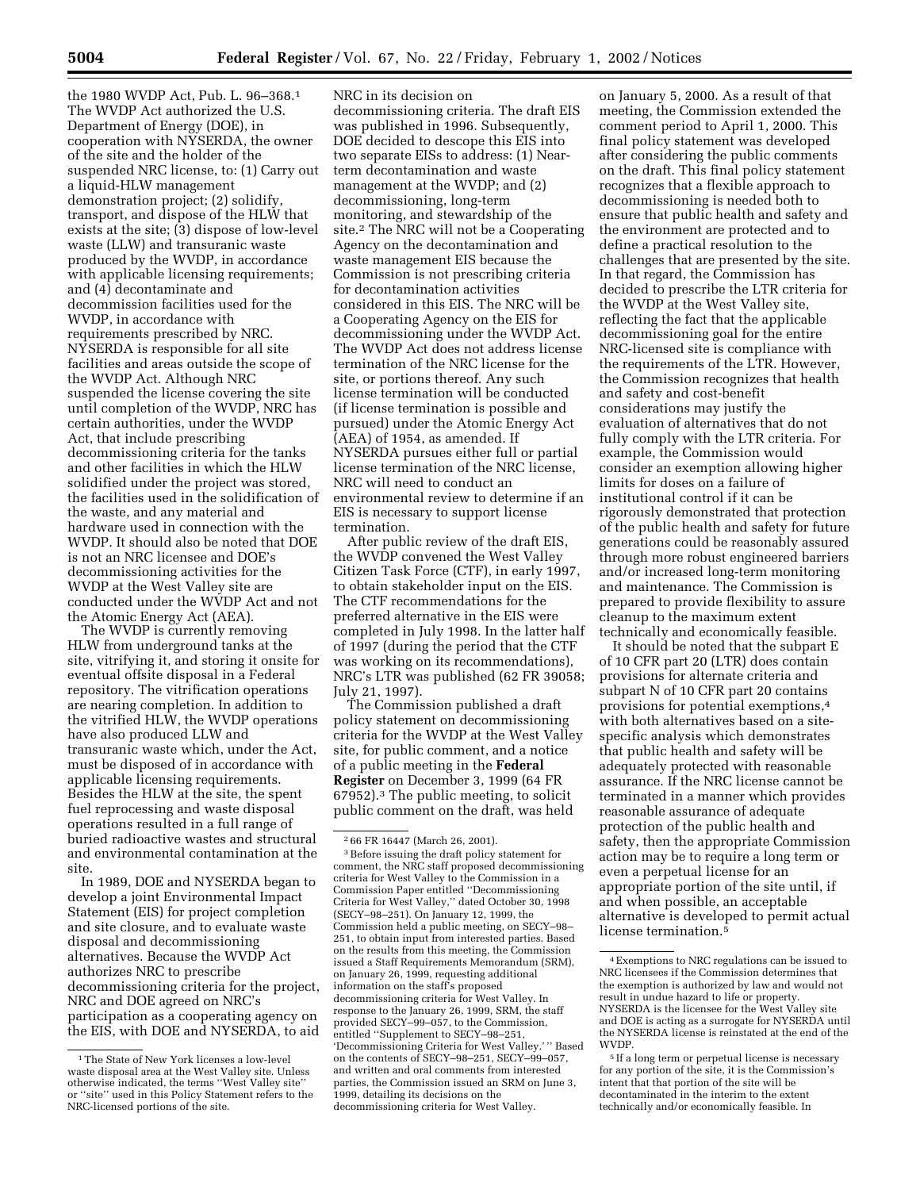the 1980 WVDP Act, Pub. L. 96–368.1 The WVDP Act authorized the U.S. Department of Energy (DOE), in cooperation with NYSERDA, the owner of the site and the holder of the suspended NRC license, to: (1) Carry out a liquid-HLW management demonstration project; (2) solidify, transport, and dispose of the HLW that exists at the site; (3) dispose of low-level waste (LLW) and transuranic waste produced by the WVDP, in accordance with applicable licensing requirements; and (4) decontaminate and decommission facilities used for the WVDP, in accordance with requirements prescribed by NRC. NYSERDA is responsible for all site facilities and areas outside the scope of the WVDP Act. Although NRC suspended the license covering the site until completion of the WVDP, NRC has certain authorities, under the WVDP Act, that include prescribing decommissioning criteria for the tanks and other facilities in which the HLW solidified under the project was stored, the facilities used in the solidification of the waste, and any material and hardware used in connection with the WVDP. It should also be noted that DOE is not an NRC licensee and DOE's decommissioning activities for the WVDP at the West Valley site are conducted under the WVDP Act and not the Atomic Energy Act (AEA).

The WVDP is currently removing HLW from underground tanks at the site, vitrifying it, and storing it onsite for eventual offsite disposal in a Federal repository. The vitrification operations are nearing completion. In addition to the vitrified HLW, the WVDP operations have also produced LLW and transuranic waste which, under the Act, must be disposed of in accordance with applicable licensing requirements. Besides the HLW at the site, the spent fuel reprocessing and waste disposal operations resulted in a full range of buried radioactive wastes and structural and environmental contamination at the site.

In 1989, DOE and NYSERDA began to develop a joint Environmental Impact Statement (EIS) for project completion and site closure, and to evaluate waste disposal and decommissioning alternatives. Because the WVDP Act authorizes NRC to prescribe decommissioning criteria for the project, NRC and DOE agreed on NRC's participation as a cooperating agency on the EIS, with DOE and NYSERDA, to aid

NRC in its decision on decommissioning criteria. The draft EIS was published in 1996. Subsequently, DOE decided to descope this EIS into two separate EISs to address: (1) Nearterm decontamination and waste management at the WVDP; and (2) decommissioning, long-term monitoring, and stewardship of the site.2 The NRC will not be a Cooperating Agency on the decontamination and waste management EIS because the Commission is not prescribing criteria for decontamination activities considered in this EIS. The NRC will be a Cooperating Agency on the EIS for decommissioning under the WVDP Act. The WVDP Act does not address license termination of the NRC license for the site, or portions thereof. Any such license termination will be conducted (if license termination is possible and pursued) under the Atomic Energy Act (AEA) of 1954, as amended. If NYSERDA pursues either full or partial license termination of the NRC license, NRC will need to conduct an environmental review to determine if an EIS is necessary to support license termination.

After public review of the draft EIS, the WVDP convened the West Valley Citizen Task Force (CTF), in early 1997, to obtain stakeholder input on the EIS. The CTF recommendations for the preferred alternative in the EIS were completed in July 1998. In the latter half of 1997 (during the period that the CTF was working on its recommendations), NRC's LTR was published (62 FR 39058; July 21, 1997).

The Commission published a draft policy statement on decommissioning criteria for the WVDP at the West Valley site, for public comment, and a notice of a public meeting in the **Federal Register** on December 3, 1999 (64 FR 67952).3 The public meeting, to solicit public comment on the draft, was held

3Before issuing the draft policy statement for comment, the NRC staff proposed decommissioning criteria for West Valley to the Commission in a Commission Paper entitled ''Decommissioning Criteria for West Valley,'' dated October 30, 1998 (SECY–98–251). On January 12, 1999, the Commission held a public meeting, on SECY–98– 251, to obtain input from interested parties. Based on the results from this meeting, the Commission issued a Staff Requirements Memorandum (SRM), on January 26, 1999, requesting additional information on the staff's proposed decommissioning criteria for West Valley. In response to the January 26, 1999, SRM, the staff provided SECY–99–057, to the Commission, entitled ''Supplement to SECY–98–251, 'Decommissioning Criteria for West Valley.' '' Based on the contents of SECY–98–251, SECY–99–057, and written and oral comments from interested parties, the Commission issued an SRM on June 3, 1999, detailing its decisions on the decommissioning criteria for West Valley.

on January 5, 2000. As a result of that meeting, the Commission extended the comment period to April 1, 2000. This final policy statement was developed after considering the public comments on the draft. This final policy statement recognizes that a flexible approach to decommissioning is needed both to ensure that public health and safety and the environment are protected and to define a practical resolution to the challenges that are presented by the site. In that regard, the Commission has decided to prescribe the LTR criteria for the WVDP at the West Valley site, reflecting the fact that the applicable decommissioning goal for the entire NRC-licensed site is compliance with the requirements of the LTR. However, the Commission recognizes that health and safety and cost-benefit considerations may justify the evaluation of alternatives that do not fully comply with the LTR criteria. For example, the Commission would consider an exemption allowing higher limits for doses on a failure of institutional control if it can be rigorously demonstrated that protection of the public health and safety for future generations could be reasonably assured through more robust engineered barriers and/or increased long-term monitoring and maintenance. The Commission is prepared to provide flexibility to assure cleanup to the maximum extent technically and economically feasible.

It should be noted that the subpart E of 10 CFR part 20 (LTR) does contain provisions for alternate criteria and subpart N of 10 CFR part 20 contains provisions for potential exemptions,4 with both alternatives based on a sitespecific analysis which demonstrates that public health and safety will be adequately protected with reasonable assurance. If the NRC license cannot be terminated in a manner which provides reasonable assurance of adequate protection of the public health and safety, then the appropriate Commission action may be to require a long term or even a perpetual license for an appropriate portion of the site until, if and when possible, an acceptable alternative is developed to permit actual license termination.5

<sup>1</sup>The State of New York licenses a low-level waste disposal area at the West Valley site. Unless otherwise indicated, the terms ''West Valley site'' or ''site'' used in this Policy Statement refers to the NRC-licensed portions of the site.

<sup>2</sup> 66 FR 16447 (March 26, 2001).

<sup>4</sup>Exemptions to NRC regulations can be issued to NRC licensees if the Commission determines that the exemption is authorized by law and would not result in undue hazard to life or property. NYSERDA is the licensee for the West Valley site and DOE is acting as a surrogate for NYSERDA until the NYSERDA license is reinstated at the end of the WVDP.

<sup>5</sup> If a long term or perpetual license is necessary for any portion of the site, it is the Commission's intent that that portion of the site will be decontaminated in the interim to the extent technically and/or economically feasible. In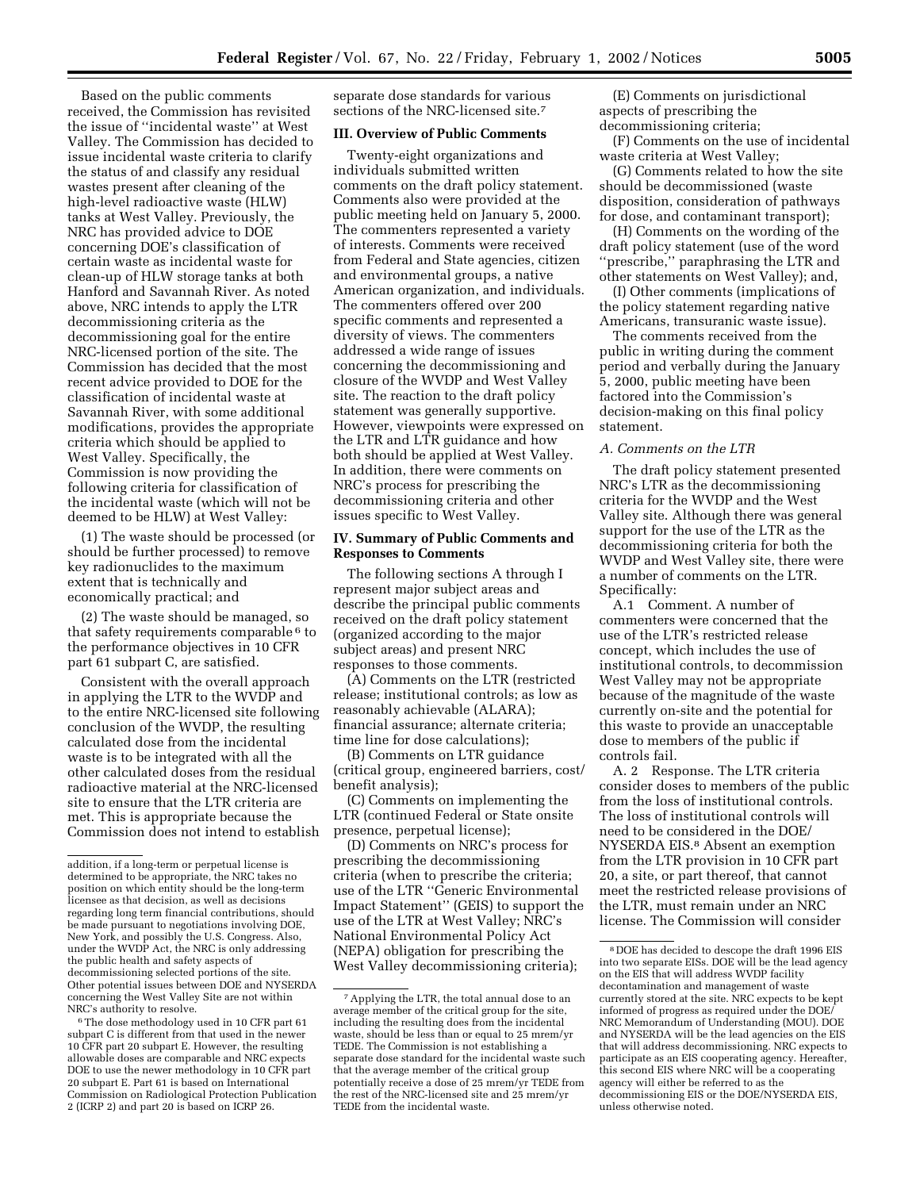Based on the public comments received, the Commission has revisited the issue of ''incidental waste'' at West Valley. The Commission has decided to issue incidental waste criteria to clarify the status of and classify any residual wastes present after cleaning of the high-level radioactive waste (HLW) tanks at West Valley. Previously, the NRC has provided advice to DOE concerning DOE's classification of certain waste as incidental waste for clean-up of HLW storage tanks at both Hanford and Savannah River. As noted above, NRC intends to apply the LTR decommissioning criteria as the decommissioning goal for the entire NRC-licensed portion of the site. The Commission has decided that the most recent advice provided to DOE for the classification of incidental waste at Savannah River, with some additional modifications, provides the appropriate criteria which should be applied to West Valley. Specifically, the Commission is now providing the following criteria for classification of the incidental waste (which will not be deemed to be HLW) at West Valley:

(1) The waste should be processed (or should be further processed) to remove key radionuclides to the maximum extent that is technically and economically practical; and

(2) The waste should be managed, so that safety requirements comparable 6 to the performance objectives in 10 CFR part 61 subpart C, are satisfied.

Consistent with the overall approach in applying the LTR to the WVDP and to the entire NRC-licensed site following conclusion of the WVDP, the resulting calculated dose from the incidental waste is to be integrated with all the other calculated doses from the residual radioactive material at the NRC-licensed site to ensure that the LTR criteria are met. This is appropriate because the Commission does not intend to establish

6The dose methodology used in 10 CFR part 61 subpart C is different from that used in the newer 10 CFR part 20 subpart E. However, the resulting allowable doses are comparable and NRC expects DOE to use the newer methodology in 10 CFR part 20 subpart E. Part 61 is based on International Commission on Radiological Protection Publication 2 (ICRP 2) and part 20 is based on ICRP 26.

separate dose standards for various sections of the NRC-licensed site.7

# **III. Overview of Public Comments**

Twenty-eight organizations and individuals submitted written comments on the draft policy statement. Comments also were provided at the public meeting held on January 5, 2000. The commenters represented a variety of interests. Comments were received from Federal and State agencies, citizen and environmental groups, a native American organization, and individuals. The commenters offered over 200 specific comments and represented a diversity of views. The commenters addressed a wide range of issues concerning the decommissioning and closure of the WVDP and West Valley site. The reaction to the draft policy statement was generally supportive. However, viewpoints were expressed on the LTR and LTR guidance and how both should be applied at West Valley. In addition, there were comments on NRC's process for prescribing the decommissioning criteria and other issues specific to West Valley.

## **IV. Summary of Public Comments and Responses to Comments**

The following sections A through I represent major subject areas and describe the principal public comments received on the draft policy statement (organized according to the major subject areas) and present NRC responses to those comments.

(A) Comments on the LTR (restricted release; institutional controls; as low as reasonably achievable (ALARA); financial assurance; alternate criteria; time line for dose calculations);

(B) Comments on LTR guidance (critical group, engineered barriers, cost/ benefit analysis);

(C) Comments on implementing the LTR (continued Federal or State onsite presence, perpetual license);

(D) Comments on NRC's process for prescribing the decommissioning criteria (when to prescribe the criteria; use of the LTR ''Generic Environmental Impact Statement'' (GEIS) to support the use of the LTR at West Valley; NRC's National Environmental Policy Act (NEPA) obligation for prescribing the West Valley decommissioning criteria);

(E) Comments on jurisdictional aspects of prescribing the decommissioning criteria;

(F) Comments on the use of incidental waste criteria at West Valley;

(G) Comments related to how the site should be decommissioned (waste disposition, consideration of pathways for dose, and contaminant transport);

(H) Comments on the wording of the draft policy statement (use of the word ''prescribe,'' paraphrasing the LTR and other statements on West Valley); and,

(I) Other comments (implications of the policy statement regarding native Americans, transuranic waste issue).

The comments received from the public in writing during the comment period and verbally during the January 5, 2000, public meeting have been factored into the Commission's decision-making on this final policy statement.

## *A. Comments on the LTR*

The draft policy statement presented NRC's LTR as the decommissioning criteria for the WVDP and the West Valley site. Although there was general support for the use of the LTR as the decommissioning criteria for both the WVDP and West Valley site, there were a number of comments on the LTR. Specifically:

A.1 Comment. A number of commenters were concerned that the use of the LTR's restricted release concept, which includes the use of institutional controls, to decommission West Valley may not be appropriate because of the magnitude of the waste currently on-site and the potential for this waste to provide an unacceptable dose to members of the public if controls fail.

A. 2 Response. The LTR criteria consider doses to members of the public from the loss of institutional controls. The loss of institutional controls will need to be considered in the DOE/ NYSERDA EIS.8 Absent an exemption from the LTR provision in 10 CFR part 20, a site, or part thereof, that cannot meet the restricted release provisions of the LTR, must remain under an NRC license. The Commission will consider

addition, if a long-term or perpetual license is determined to be appropriate, the NRC takes no position on which entity should be the long-term licensee as that decision, as well as decisions regarding long term financial contributions, should be made pursuant to negotiations involving DOE, New York, and possibly the U.S. Congress. Also, under the WVDP Act, the NRC is only addressing the public health and safety aspects of decommissioning selected portions of the site. Other potential issues between DOE and NYSERDA concerning the West Valley Site are not within NRC's authority to resolve.

<sup>7</sup>Applying the LTR, the total annual dose to an average member of the critical group for the site, including the resulting does from the incidental waste, should be less than or equal to 25 mrem/yr TEDE. The Commission is not establishing a separate dose standard for the incidental waste such that the average member of the critical group potentially receive a dose of 25 mrem/yr TEDE from the rest of the NRC-licensed site and 25 mrem/yr TEDE from the incidental waste.

<sup>8</sup> DOE has decided to descope the draft 1996 EIS into two separate EISs. DOE will be the lead agency on the EIS that will address WVDP facility decontamination and management of waste currently stored at the site. NRC expects to be kept informed of progress as required under the DOE/ NRC Memorandum of Understanding (MOU). DOE and NYSERDA will be the lead agencies on the EIS that will address decommissioning. NRC expects to participate as an EIS cooperating agency. Hereafter, this second EIS where NRC will be a cooperating agency will either be referred to as the decommissioning EIS or the DOE/NYSERDA EIS, unless otherwise noted.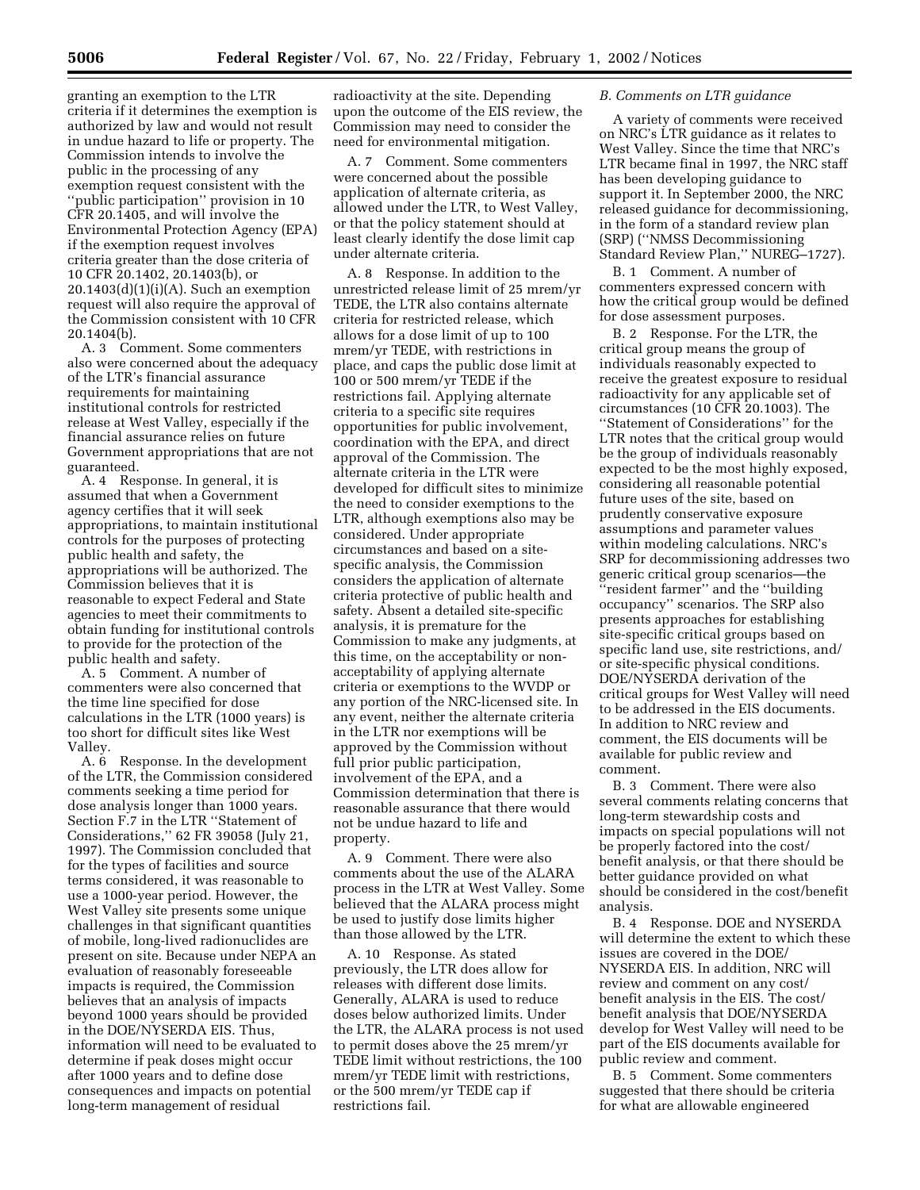granting an exemption to the LTR criteria if it determines the exemption is authorized by law and would not result in undue hazard to life or property. The Commission intends to involve the public in the processing of any exemption request consistent with the ''public participation'' provision in 10 CFR 20.1405, and will involve the Environmental Protection Agency (EPA) if the exemption request involves criteria greater than the dose criteria of 10 CFR 20.1402, 20.1403(b), or  $20.1403(d)(1)(i)(A)$ . Such an exemption request will also require the approval of the Commission consistent with 10 CFR 20.1404(b).

A. 3 Comment. Some commenters also were concerned about the adequacy of the LTR's financial assurance requirements for maintaining institutional controls for restricted release at West Valley, especially if the financial assurance relies on future Government appropriations that are not guaranteed.

A. 4 Response. In general, it is assumed that when a Government agency certifies that it will seek appropriations, to maintain institutional controls for the purposes of protecting public health and safety, the appropriations will be authorized. The Commission believes that it is reasonable to expect Federal and State agencies to meet their commitments to obtain funding for institutional controls to provide for the protection of the public health and safety.

A. 5 Comment. A number of commenters were also concerned that the time line specified for dose calculations in the LTR (1000 years) is too short for difficult sites like West Valley.

A. 6 Response. In the development of the LTR, the Commission considered comments seeking a time period for dose analysis longer than 1000 years. Section F.7 in the LTR ''Statement of Considerations,'' 62 FR 39058 (July 21, 1997). The Commission concluded that for the types of facilities and source terms considered, it was reasonable to use a 1000-year period. However, the West Valley site presents some unique challenges in that significant quantities of mobile, long-lived radionuclides are present on site. Because under NEPA an evaluation of reasonably foreseeable impacts is required, the Commission believes that an analysis of impacts beyond 1000 years should be provided in the DOE/NYSERDA EIS. Thus, information will need to be evaluated to determine if peak doses might occur after 1000 years and to define dose consequences and impacts on potential long-term management of residual

radioactivity at the site. Depending upon the outcome of the EIS review, the Commission may need to consider the need for environmental mitigation.

A. 7 Comment. Some commenters were concerned about the possible application of alternate criteria, as allowed under the LTR, to West Valley, or that the policy statement should at least clearly identify the dose limit cap under alternate criteria.

A. 8 Response. In addition to the unrestricted release limit of 25 mrem/yr TEDE, the LTR also contains alternate criteria for restricted release, which allows for a dose limit of up to 100 mrem/yr TEDE, with restrictions in place, and caps the public dose limit at 100 or 500 mrem/yr TEDE if the restrictions fail. Applying alternate criteria to a specific site requires opportunities for public involvement, coordination with the EPA, and direct approval of the Commission. The alternate criteria in the LTR were developed for difficult sites to minimize the need to consider exemptions to the LTR, although exemptions also may be considered. Under appropriate circumstances and based on a sitespecific analysis, the Commission considers the application of alternate criteria protective of public health and safety. Absent a detailed site-specific analysis, it is premature for the Commission to make any judgments, at this time, on the acceptability or nonacceptability of applying alternate criteria or exemptions to the WVDP or any portion of the NRC-licensed site. In any event, neither the alternate criteria in the LTR nor exemptions will be approved by the Commission without full prior public participation, involvement of the EPA, and a Commission determination that there is reasonable assurance that there would not be undue hazard to life and property.

A. 9 Comment. There were also comments about the use of the ALARA process in the LTR at West Valley. Some believed that the ALARA process might be used to justify dose limits higher than those allowed by the LTR.

A. 10 Response. As stated previously, the LTR does allow for releases with different dose limits. Generally, ALARA is used to reduce doses below authorized limits. Under the LTR, the ALARA process is not used to permit doses above the 25 mrem/yr TEDE limit without restrictions, the 100 mrem/yr TEDE limit with restrictions, or the 500 mrem/yr TEDE cap if restrictions fail.

## *B. Comments on LTR guidance*

A variety of comments were received on NRC's LTR guidance as it relates to West Valley. Since the time that NRC's LTR became final in 1997, the NRC staff has been developing guidance to support it. In September 2000, the NRC released guidance for decommissioning, in the form of a standard review plan (SRP) (''NMSS Decommissioning Standard Review Plan,'' NUREG–1727).

B. 1 Comment. A number of commenters expressed concern with how the critical group would be defined for dose assessment purposes.

B. 2 Response. For the LTR, the critical group means the group of individuals reasonably expected to receive the greatest exposure to residual radioactivity for any applicable set of circumstances (10 CFR 20.1003). The ''Statement of Considerations'' for the LTR notes that the critical group would be the group of individuals reasonably expected to be the most highly exposed, considering all reasonable potential future uses of the site, based on prudently conservative exposure assumptions and parameter values within modeling calculations. NRC's SRP for decommissioning addresses two generic critical group scenarios—the ''resident farmer'' and the ''building occupancy'' scenarios. The SRP also presents approaches for establishing site-specific critical groups based on specific land use, site restrictions, and/ or site-specific physical conditions. DOE/NYSERDA derivation of the critical groups for West Valley will need to be addressed in the EIS documents. In addition to NRC review and comment, the EIS documents will be available for public review and comment.

B. 3 Comment. There were also several comments relating concerns that long-term stewardship costs and impacts on special populations will not be properly factored into the cost/ benefit analysis, or that there should be better guidance provided on what should be considered in the cost/benefit analysis.

B. 4 Response. DOE and NYSERDA will determine the extent to which these issues are covered in the DOE/ NYSERDA EIS. In addition, NRC will review and comment on any cost/ benefit analysis in the EIS. The cost/ benefit analysis that DOE/NYSERDA develop for West Valley will need to be part of the EIS documents available for public review and comment.

B. 5 Comment. Some commenters suggested that there should be criteria for what are allowable engineered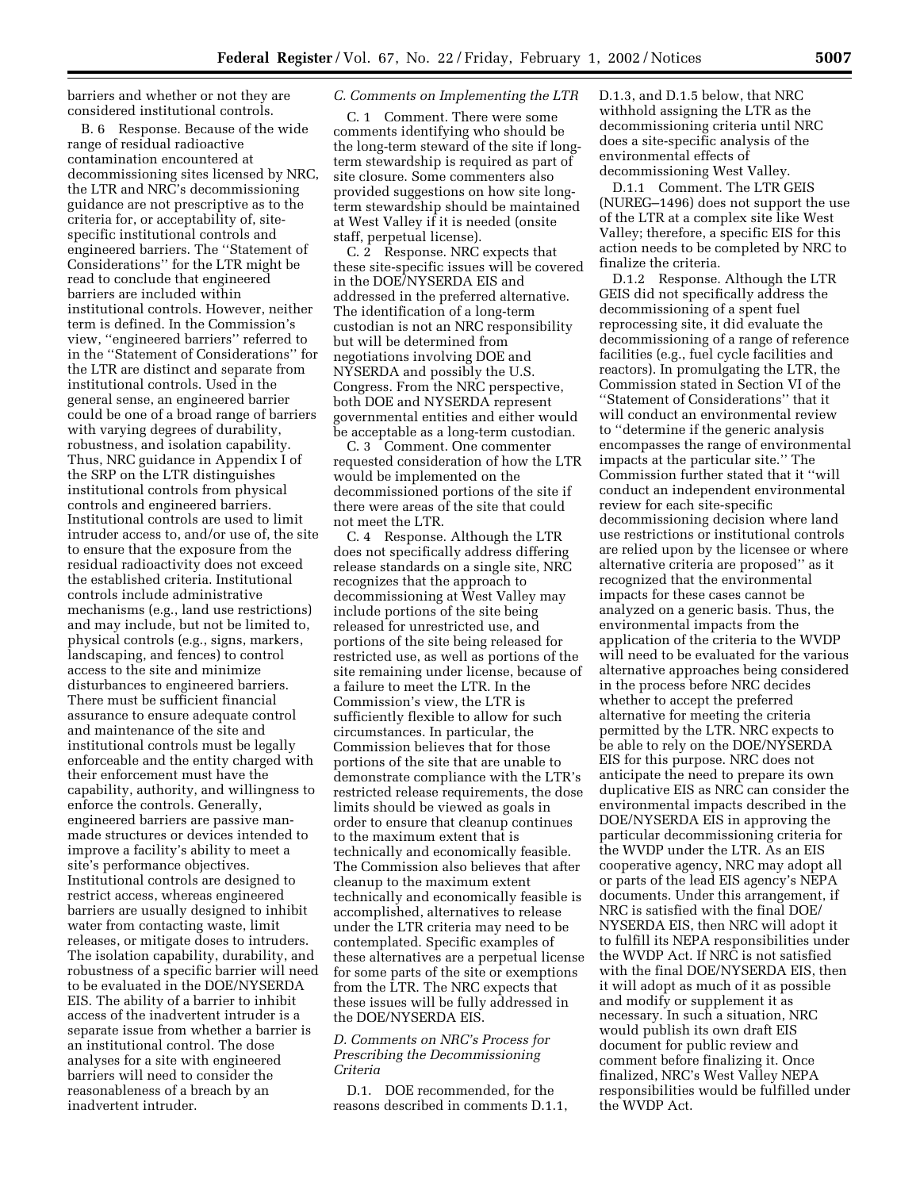barriers and whether or not they are considered institutional controls.

B. 6 Response. Because of the wide range of residual radioactive contamination encountered at decommissioning sites licensed by NRC, the LTR and NRC's decommissioning guidance are not prescriptive as to the criteria for, or acceptability of, sitespecific institutional controls and engineered barriers. The ''Statement of Considerations'' for the LTR might be read to conclude that engineered barriers are included within institutional controls. However, neither term is defined. In the Commission's view, ''engineered barriers'' referred to in the ''Statement of Considerations'' for the LTR are distinct and separate from institutional controls. Used in the general sense, an engineered barrier could be one of a broad range of barriers with varying degrees of durability, robustness, and isolation capability. Thus, NRC guidance in Appendix I of the SRP on the LTR distinguishes institutional controls from physical controls and engineered barriers. Institutional controls are used to limit intruder access to, and/or use of, the site to ensure that the exposure from the residual radioactivity does not exceed the established criteria. Institutional controls include administrative mechanisms (e.g., land use restrictions) and may include, but not be limited to, physical controls (e.g., signs, markers, landscaping, and fences) to control access to the site and minimize disturbances to engineered barriers. There must be sufficient financial assurance to ensure adequate control and maintenance of the site and institutional controls must be legally enforceable and the entity charged with their enforcement must have the capability, authority, and willingness to enforce the controls. Generally, engineered barriers are passive manmade structures or devices intended to improve a facility's ability to meet a site's performance objectives. Institutional controls are designed to restrict access, whereas engineered barriers are usually designed to inhibit water from contacting waste, limit releases, or mitigate doses to intruders. The isolation capability, durability, and robustness of a specific barrier will need to be evaluated in the DOE/NYSERDA EIS. The ability of a barrier to inhibit access of the inadvertent intruder is a separate issue from whether a barrier is an institutional control. The dose analyses for a site with engineered barriers will need to consider the reasonableness of a breach by an inadvertent intruder.

## *C. Comments on Implementing the LTR*

C. 1 Comment. There were some comments identifying who should be the long-term steward of the site if longterm stewardship is required as part of site closure. Some commenters also provided suggestions on how site longterm stewardship should be maintained at West Valley if it is needed (onsite staff, perpetual license).

C. 2 Response. NRC expects that these site-specific issues will be covered in the DOE/NYSERDA EIS and addressed in the preferred alternative. The identification of a long-term custodian is not an NRC responsibility but will be determined from negotiations involving DOE and NYSERDA and possibly the U.S. Congress. From the NRC perspective, both DOE and NYSERDA represent governmental entities and either would be acceptable as a long-term custodian.

C. 3 Comment. One commenter requested consideration of how the LTR would be implemented on the decommissioned portions of the site if there were areas of the site that could not meet the LTR.

C. 4 Response. Although the LTR does not specifically address differing release standards on a single site, NRC recognizes that the approach to decommissioning at West Valley may include portions of the site being released for unrestricted use, and portions of the site being released for restricted use, as well as portions of the site remaining under license, because of a failure to meet the LTR. In the Commission's view, the LTR is sufficiently flexible to allow for such circumstances. In particular, the Commission believes that for those portions of the site that are unable to demonstrate compliance with the LTR's restricted release requirements, the dose limits should be viewed as goals in order to ensure that cleanup continues to the maximum extent that is technically and economically feasible. The Commission also believes that after cleanup to the maximum extent technically and economically feasible is accomplished, alternatives to release under the LTR criteria may need to be contemplated. Specific examples of these alternatives are a perpetual license for some parts of the site or exemptions from the LTR. The NRC expects that these issues will be fully addressed in the DOE/NYSERDA EIS.

## *D. Comments on NRC's Process for Prescribing the Decommissioning Criteria*

D.1. DOE recommended, for the reasons described in comments D.1.1, D.1.3, and D.1.5 below, that NRC withhold assigning the LTR as the decommissioning criteria until NRC does a site-specific analysis of the environmental effects of decommissioning West Valley.

D.1.1 Comment. The LTR GEIS (NUREG–1496) does not support the use of the LTR at a complex site like West Valley; therefore, a specific EIS for this action needs to be completed by NRC to finalize the criteria.

D.1.2 Response. Although the LTR GEIS did not specifically address the decommissioning of a spent fuel reprocessing site, it did evaluate the decommissioning of a range of reference facilities (e.g., fuel cycle facilities and reactors). In promulgating the LTR, the Commission stated in Section VI of the ''Statement of Considerations'' that it will conduct an environmental review to ''determine if the generic analysis encompasses the range of environmental impacts at the particular site.'' The Commission further stated that it ''will conduct an independent environmental review for each site-specific decommissioning decision where land use restrictions or institutional controls are relied upon by the licensee or where alternative criteria are proposed'' as it recognized that the environmental impacts for these cases cannot be analyzed on a generic basis. Thus, the environmental impacts from the application of the criteria to the WVDP will need to be evaluated for the various alternative approaches being considered in the process before NRC decides whether to accept the preferred alternative for meeting the criteria permitted by the LTR. NRC expects to be able to rely on the DOE/NYSERDA EIS for this purpose. NRC does not anticipate the need to prepare its own duplicative EIS as NRC can consider the environmental impacts described in the DOE/NYSERDA EIS in approving the particular decommissioning criteria for the WVDP under the LTR. As an EIS cooperative agency, NRC may adopt all or parts of the lead EIS agency's NEPA documents. Under this arrangement, if NRC is satisfied with the final DOE/ NYSERDA EIS, then NRC will adopt it to fulfill its NEPA responsibilities under the WVDP Act. If NRC is not satisfied with the final DOE/NYSERDA EIS, then it will adopt as much of it as possible and modify or supplement it as necessary. In such a situation, NRC would publish its own draft EIS document for public review and comment before finalizing it. Once finalized, NRC's West Valley NEPA responsibilities would be fulfilled under the WVDP Act.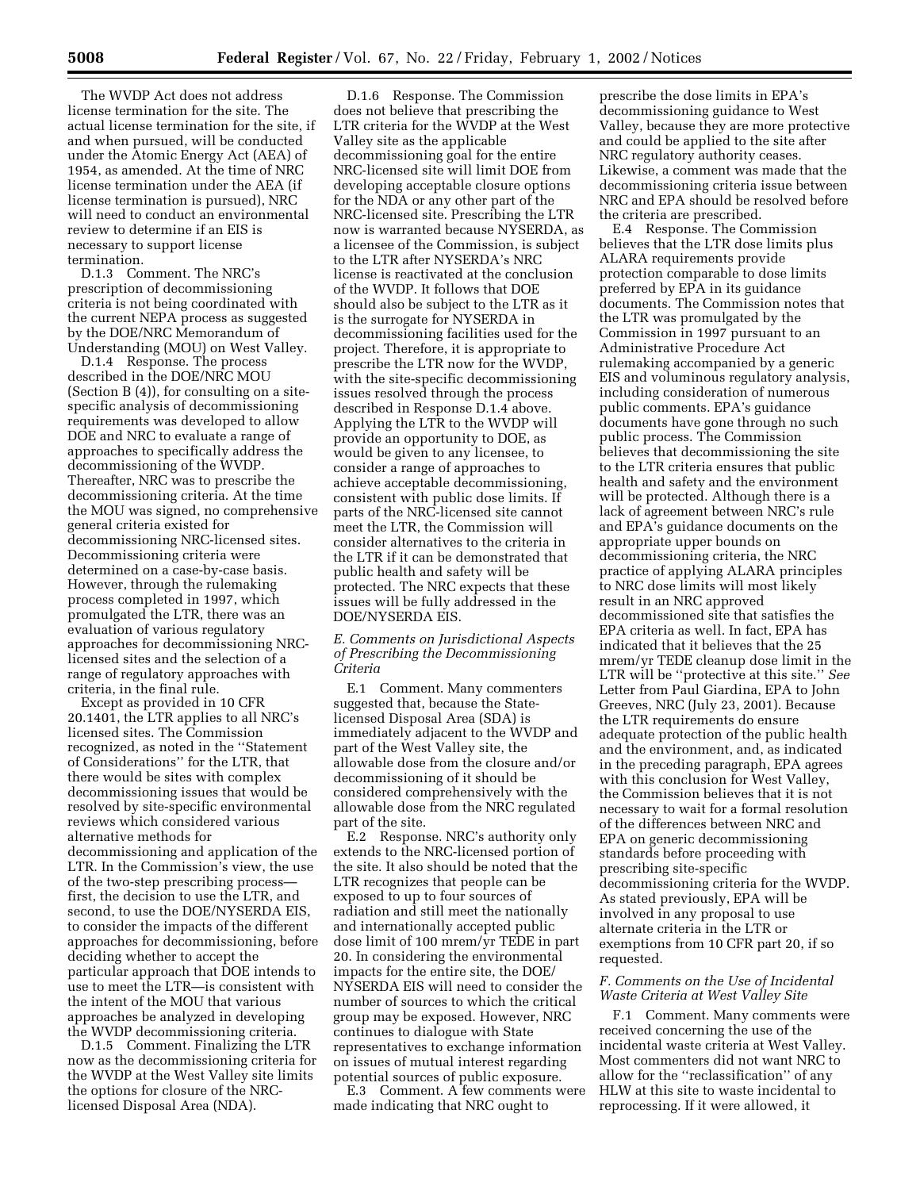The WVDP Act does not address license termination for the site. The actual license termination for the site, if and when pursued, will be conducted under the Atomic Energy Act (AEA) of 1954, as amended. At the time of NRC license termination under the AEA (if license termination is pursued), NRC will need to conduct an environmental review to determine if an EIS is necessary to support license termination.

D.1.3 Comment. The NRC's prescription of decommissioning criteria is not being coordinated with the current NEPA process as suggested by the DOE/NRC Memorandum of Understanding (MOU) on West Valley.

D.1.4 Response. The process described in the DOE/NRC MOU (Section B (4)), for consulting on a sitespecific analysis of decommissioning requirements was developed to allow DOE and NRC to evaluate a range of approaches to specifically address the decommissioning of the WVDP. Thereafter, NRC was to prescribe the decommissioning criteria. At the time the MOU was signed, no comprehensive general criteria existed for decommissioning NRC-licensed sites. Decommissioning criteria were determined on a case-by-case basis. However, through the rulemaking process completed in 1997, which promulgated the LTR, there was an evaluation of various regulatory approaches for decommissioning NRClicensed sites and the selection of a range of regulatory approaches with criteria, in the final rule.

Except as provided in 10 CFR 20.1401, the LTR applies to all NRC's licensed sites. The Commission recognized, as noted in the ''Statement of Considerations'' for the LTR, that there would be sites with complex decommissioning issues that would be resolved by site-specific environmental reviews which considered various alternative methods for decommissioning and application of the LTR. In the Commission's view, the use of the two-step prescribing process first, the decision to use the LTR, and second, to use the DOE/NYSERDA EIS, to consider the impacts of the different approaches for decommissioning, before deciding whether to accept the particular approach that DOE intends to use to meet the LTR—is consistent with the intent of the MOU that various approaches be analyzed in developing the WVDP decommissioning criteria.

D.1.5 Comment. Finalizing the LTR now as the decommissioning criteria for the WVDP at the West Valley site limits the options for closure of the NRClicensed Disposal Area (NDA).

D.1.6 Response. The Commission does not believe that prescribing the LTR criteria for the WVDP at the West Valley site as the applicable decommissioning goal for the entire NRC-licensed site will limit DOE from developing acceptable closure options for the NDA or any other part of the NRC-licensed site. Prescribing the LTR now is warranted because NYSERDA, as a licensee of the Commission, is subject to the LTR after NYSERDA's NRC license is reactivated at the conclusion of the WVDP. It follows that DOE should also be subject to the LTR as it is the surrogate for NYSERDA in decommissioning facilities used for the project. Therefore, it is appropriate to prescribe the LTR now for the WVDP, with the site-specific decommissioning issues resolved through the process described in Response D.1.4 above. Applying the LTR to the WVDP will provide an opportunity to DOE, as would be given to any licensee, to consider a range of approaches to achieve acceptable decommissioning, consistent with public dose limits. If parts of the NRC-licensed site cannot meet the LTR, the Commission will consider alternatives to the criteria in the LTR if it can be demonstrated that public health and safety will be protected. The NRC expects that these issues will be fully addressed in the DOE/NYSERDA EIS.

## *E. Comments on Jurisdictional Aspects of Prescribing the Decommissioning Criteria*

E.1 Comment. Many commenters suggested that, because the Statelicensed Disposal Area (SDA) is immediately adjacent to the WVDP and part of the West Valley site, the allowable dose from the closure and/or decommissioning of it should be considered comprehensively with the allowable dose from the NRC regulated part of the site.

E.2 Response. NRC's authority only extends to the NRC-licensed portion of the site. It also should be noted that the LTR recognizes that people can be exposed to up to four sources of radiation and still meet the nationally and internationally accepted public dose limit of 100 mrem/yr TEDE in part 20. In considering the environmental impacts for the entire site, the DOE/ NYSERDA EIS will need to consider the number of sources to which the critical group may be exposed. However, NRC continues to dialogue with State representatives to exchange information on issues of mutual interest regarding potential sources of public exposure.

E.3 Comment. A few comments were made indicating that NRC ought to

prescribe the dose limits in EPA's decommissioning guidance to West Valley, because they are more protective and could be applied to the site after NRC regulatory authority ceases. Likewise, a comment was made that the decommissioning criteria issue between NRC and EPA should be resolved before the criteria are prescribed.

E.4 Response. The Commission believes that the LTR dose limits plus ALARA requirements provide protection comparable to dose limits preferred by EPA in its guidance documents. The Commission notes that the LTR was promulgated by the Commission in 1997 pursuant to an Administrative Procedure Act rulemaking accompanied by a generic EIS and voluminous regulatory analysis, including consideration of numerous public comments. EPA's guidance documents have gone through no such public process. The Commission believes that decommissioning the site to the LTR criteria ensures that public health and safety and the environment will be protected. Although there is a lack of agreement between NRC's rule and EPA's guidance documents on the appropriate upper bounds on decommissioning criteria, the NRC practice of applying ALARA principles to NRC dose limits will most likely result in an NRC approved decommissioned site that satisfies the EPA criteria as well. In fact, EPA has indicated that it believes that the 25 mrem/yr TEDE cleanup dose limit in the LTR will be ''protective at this site.'' *See* Letter from Paul Giardina, EPA to John Greeves, NRC (July 23, 2001). Because the LTR requirements do ensure adequate protection of the public health and the environment, and, as indicated in the preceding paragraph, EPA agrees with this conclusion for West Valley, the Commission believes that it is not necessary to wait for a formal resolution of the differences between NRC and EPA on generic decommissioning standards before proceeding with prescribing site-specific decommissioning criteria for the WVDP. As stated previously, EPA will be involved in any proposal to use alternate criteria in the LTR or exemptions from 10 CFR part 20, if so requested.

## *F. Comments on the Use of Incidental Waste Criteria at West Valley Site*

F.1 Comment. Many comments were received concerning the use of the incidental waste criteria at West Valley. Most commenters did not want NRC to allow for the ''reclassification'' of any HLW at this site to waste incidental to reprocessing. If it were allowed, it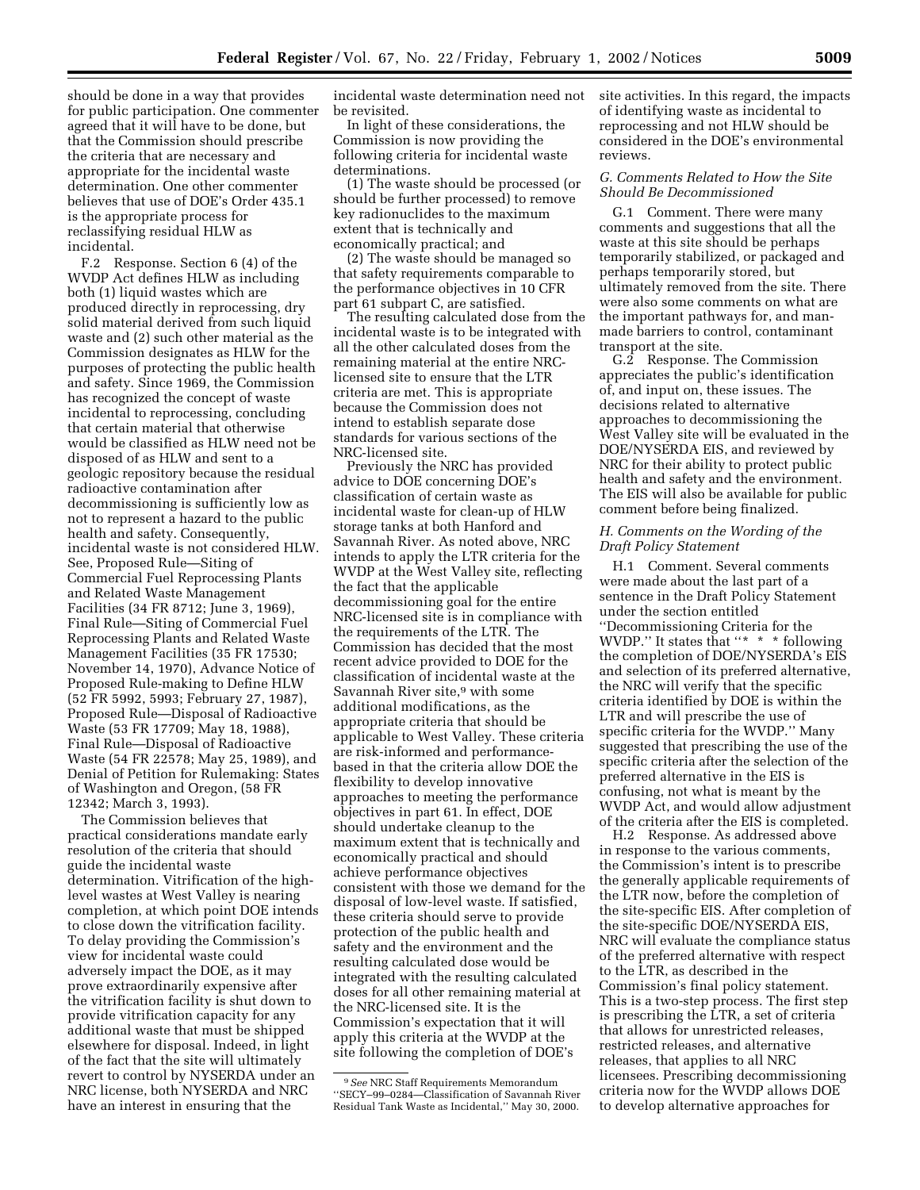should be done in a way that provides for public participation. One commenter agreed that it will have to be done, but that the Commission should prescribe the criteria that are necessary and appropriate for the incidental waste determination. One other commenter believes that use of DOE's Order 435.1 is the appropriate process for reclassifying residual HLW as incidental.

F.2 Response. Section 6 (4) of the WVDP Act defines HLW as including both (1) liquid wastes which are produced directly in reprocessing, dry solid material derived from such liquid waste and (2) such other material as the Commission designates as HLW for the purposes of protecting the public health and safety. Since 1969, the Commission has recognized the concept of waste incidental to reprocessing, concluding that certain material that otherwise would be classified as HLW need not be disposed of as HLW and sent to a geologic repository because the residual radioactive contamination after decommissioning is sufficiently low as not to represent a hazard to the public health and safety. Consequently, incidental waste is not considered HLW. See, Proposed Rule—Siting of Commercial Fuel Reprocessing Plants and Related Waste Management Facilities (34 FR 8712; June 3, 1969), Final Rule—Siting of Commercial Fuel Reprocessing Plants and Related Waste Management Facilities (35 FR 17530; November 14, 1970), Advance Notice of Proposed Rule-making to Define HLW (52 FR 5992, 5993; February 27, 1987), Proposed Rule—Disposal of Radioactive Waste (53 FR 17709; May 18, 1988), Final Rule—Disposal of Radioactive Waste (54 FR 22578; May 25, 1989), and Denial of Petition for Rulemaking: States of Washington and Oregon, (58 FR 12342; March 3, 1993).

The Commission believes that practical considerations mandate early resolution of the criteria that should guide the incidental waste determination. Vitrification of the highlevel wastes at West Valley is nearing completion, at which point DOE intends to close down the vitrification facility. To delay providing the Commission's view for incidental waste could adversely impact the DOE, as it may prove extraordinarily expensive after the vitrification facility is shut down to provide vitrification capacity for any additional waste that must be shipped elsewhere for disposal. Indeed, in light of the fact that the site will ultimately revert to control by NYSERDA under an NRC license, both NYSERDA and NRC have an interest in ensuring that the

incidental waste determination need not be revisited.

In light of these considerations, the Commission is now providing the following criteria for incidental waste determinations.

(1) The waste should be processed (or should be further processed) to remove key radionuclides to the maximum extent that is technically and economically practical; and

(2) The waste should be managed so that safety requirements comparable to the performance objectives in 10 CFR part 61 subpart C, are satisfied.

The resulting calculated dose from the incidental waste is to be integrated with all the other calculated doses from the remaining material at the entire NRClicensed site to ensure that the LTR criteria are met. This is appropriate because the Commission does not intend to establish separate dose standards for various sections of the NRC-licensed site.

Previously the NRC has provided advice to DOE concerning DOE's classification of certain waste as incidental waste for clean-up of HLW storage tanks at both Hanford and Savannah River. As noted above, NRC intends to apply the LTR criteria for the WVDP at the West Valley site, reflecting the fact that the applicable decommissioning goal for the entire NRC-licensed site is in compliance with the requirements of the LTR. The Commission has decided that the most recent advice provided to DOE for the classification of incidental waste at the Savannah River site,9 with some additional modifications, as the appropriate criteria that should be applicable to West Valley. These criteria are risk-informed and performancebased in that the criteria allow DOE the flexibility to develop innovative approaches to meeting the performance objectives in part 61. In effect, DOE should undertake cleanup to the maximum extent that is technically and economically practical and should achieve performance objectives consistent with those we demand for the disposal of low-level waste. If satisfied, these criteria should serve to provide protection of the public health and safety and the environment and the resulting calculated dose would be integrated with the resulting calculated doses for all other remaining material at the NRC-licensed site. It is the Commission's expectation that it will apply this criteria at the WVDP at the site following the completion of DOE's

site activities. In this regard, the impacts of identifying waste as incidental to reprocessing and not HLW should be considered in the DOE's environmental reviews.

## *G. Comments Related to How the Site Should Be Decommissioned*

G.1 Comment. There were many comments and suggestions that all the waste at this site should be perhaps temporarily stabilized, or packaged and perhaps temporarily stored, but ultimately removed from the site. There were also some comments on what are the important pathways for, and manmade barriers to control, contaminant transport at the site.

G.2 Response. The Commission appreciates the public's identification of, and input on, these issues. The decisions related to alternative approaches to decommissioning the West Valley site will be evaluated in the DOE/NYSERDA EIS, and reviewed by NRC for their ability to protect public health and safety and the environment. The EIS will also be available for public comment before being finalized.

## *H. Comments on the Wording of the Draft Policy Statement*

H.1 Comment. Several comments were made about the last part of a sentence in the Draft Policy Statement under the section entitled ''Decommissioning Criteria for the WVDP." It states that "\* \* \* following the completion of DOE/NYSERDA's EIS and selection of its preferred alternative, the NRC will verify that the specific criteria identified by DOE is within the LTR and will prescribe the use of specific criteria for the WVDP.'' Many suggested that prescribing the use of the specific criteria after the selection of the preferred alternative in the EIS is confusing, not what is meant by the WVDP Act, and would allow adjustment of the criteria after the EIS is completed.

H.2 Response. As addressed above in response to the various comments, the Commission's intent is to prescribe the generally applicable requirements of the LTR now, before the completion of the site-specific EIS. After completion of the site-specific DOE/NYSERDA EIS, NRC will evaluate the compliance status of the preferred alternative with respect to the LTR, as described in the Commission's final policy statement. This is a two-step process. The first step is prescribing the LTR, a set of criteria that allows for unrestricted releases, restricted releases, and alternative releases, that applies to all NRC licensees. Prescribing decommissioning criteria now for the WVDP allows DOE to develop alternative approaches for

<sup>9</sup>*See* NRC Staff Requirements Memorandum ''SECY–99–0284—Classification of Savannah River Residual Tank Waste as Incidental,'' May 30, 2000.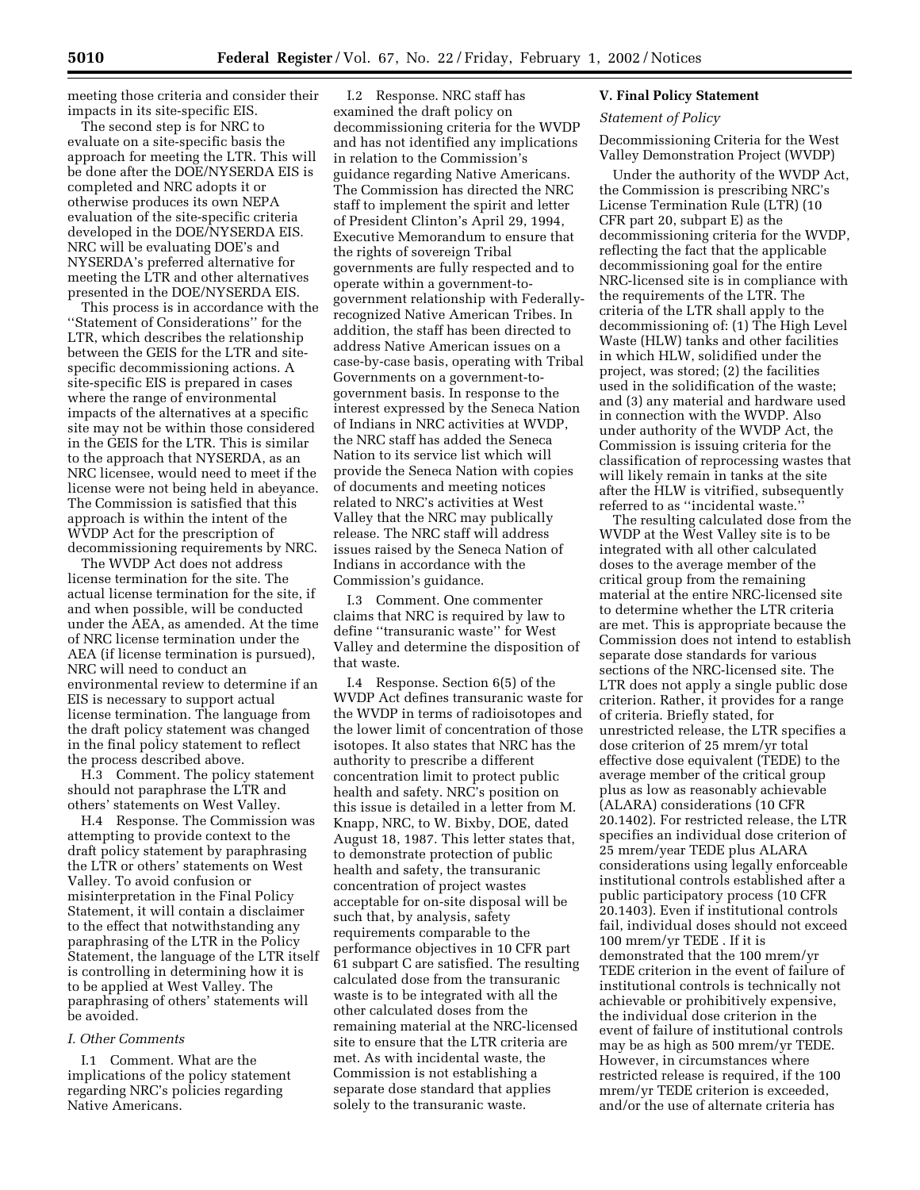meeting those criteria and consider their impacts in its site-specific EIS.

The second step is for NRC to evaluate on a site-specific basis the approach for meeting the LTR. This will be done after the DOE/NYSERDA EIS is completed and NRC adopts it or otherwise produces its own NEPA evaluation of the site-specific criteria developed in the DOE/NYSERDA EIS. NRC will be evaluating DOE's and NYSERDA's preferred alternative for meeting the LTR and other alternatives presented in the DOE/NYSERDA EIS.

This process is in accordance with the ''Statement of Considerations'' for the LTR, which describes the relationship between the GEIS for the LTR and sitespecific decommissioning actions. A site-specific EIS is prepared in cases where the range of environmental impacts of the alternatives at a specific site may not be within those considered in the GEIS for the LTR. This is similar to the approach that NYSERDA, as an NRC licensee, would need to meet if the license were not being held in abeyance. The Commission is satisfied that this approach is within the intent of the WVDP Act for the prescription of decommissioning requirements by NRC.

The WVDP Act does not address license termination for the site. The actual license termination for the site, if and when possible, will be conducted under the AEA, as amended. At the time of NRC license termination under the AEA (if license termination is pursued), NRC will need to conduct an environmental review to determine if an EIS is necessary to support actual license termination. The language from the draft policy statement was changed in the final policy statement to reflect the process described above.

H.3 Comment. The policy statement should not paraphrase the LTR and others' statements on West Valley.

H.4 Response. The Commission was attempting to provide context to the draft policy statement by paraphrasing the LTR or others' statements on West Valley. To avoid confusion or misinterpretation in the Final Policy Statement, it will contain a disclaimer to the effect that notwithstanding any paraphrasing of the LTR in the Policy Statement, the language of the LTR itself is controlling in determining how it is to be applied at West Valley. The paraphrasing of others' statements will be avoided.

# *I. Other Comments*

I.1 Comment. What are the implications of the policy statement regarding NRC's policies regarding Native Americans.

I.2 Response. NRC staff has examined the draft policy on decommissioning criteria for the WVDP and has not identified any implications in relation to the Commission's guidance regarding Native Americans. The Commission has directed the NRC staff to implement the spirit and letter of President Clinton's April 29, 1994, Executive Memorandum to ensure that the rights of sovereign Tribal governments are fully respected and to operate within a government-togovernment relationship with Federallyrecognized Native American Tribes. In addition, the staff has been directed to address Native American issues on a case-by-case basis, operating with Tribal Governments on a government-togovernment basis. In response to the interest expressed by the Seneca Nation of Indians in NRC activities at WVDP, the NRC staff has added the Seneca Nation to its service list which will provide the Seneca Nation with copies of documents and meeting notices related to NRC's activities at West Valley that the NRC may publically release. The NRC staff will address issues raised by the Seneca Nation of Indians in accordance with the Commission's guidance.

I.3 Comment. One commenter claims that NRC is required by law to define ''transuranic waste'' for West Valley and determine the disposition of that waste.

I.4 Response. Section 6(5) of the WVDP Act defines transuranic waste for the WVDP in terms of radioisotopes and the lower limit of concentration of those isotopes. It also states that NRC has the authority to prescribe a different concentration limit to protect public health and safety. NRC's position on this issue is detailed in a letter from M. Knapp, NRC, to W. Bixby, DOE, dated August 18, 1987. This letter states that, to demonstrate protection of public health and safety, the transuranic concentration of project wastes acceptable for on-site disposal will be such that, by analysis, safety requirements comparable to the performance objectives in 10 CFR part 61 subpart C are satisfied. The resulting calculated dose from the transuranic waste is to be integrated with all the other calculated doses from the remaining material at the NRC-licensed site to ensure that the LTR criteria are met. As with incidental waste, the Commission is not establishing a separate dose standard that applies solely to the transuranic waste.

#### **V. Final Policy Statement**

#### *Statement of Policy*

Decommissioning Criteria for the West Valley Demonstration Project (WVDP)

Under the authority of the WVDP Act, the Commission is prescribing NRC's License Termination Rule (LTR) (10 CFR part 20, subpart E) as the decommissioning criteria for the WVDP, reflecting the fact that the applicable decommissioning goal for the entire NRC-licensed site is in compliance with the requirements of the LTR. The criteria of the LTR shall apply to the decommissioning of: (1) The High Level Waste (HLW) tanks and other facilities in which HLW, solidified under the project, was stored; (2) the facilities used in the solidification of the waste; and (3) any material and hardware used in connection with the WVDP. Also under authority of the WVDP Act, the Commission is issuing criteria for the classification of reprocessing wastes that will likely remain in tanks at the site after the HLW is vitrified, subsequently referred to as ''incidental waste.''

The resulting calculated dose from the WVDP at the West Valley site is to be integrated with all other calculated doses to the average member of the critical group from the remaining material at the entire NRC-licensed site to determine whether the LTR criteria are met. This is appropriate because the Commission does not intend to establish separate dose standards for various sections of the NRC-licensed site. The LTR does not apply a single public dose criterion. Rather, it provides for a range of criteria. Briefly stated, for unrestricted release, the LTR specifies a dose criterion of 25 mrem/yr total effective dose equivalent (TEDE) to the average member of the critical group plus as low as reasonably achievable (ALARA) considerations (10 CFR 20.1402). For restricted release, the LTR specifies an individual dose criterion of 25 mrem/year TEDE plus ALARA considerations using legally enforceable institutional controls established after a public participatory process (10 CFR 20.1403). Even if institutional controls fail, individual doses should not exceed 100 mrem/yr TEDE . If it is demonstrated that the 100 mrem/yr TEDE criterion in the event of failure of institutional controls is technically not achievable or prohibitively expensive, the individual dose criterion in the event of failure of institutional controls may be as high as 500 mrem/yr TEDE. However, in circumstances where restricted release is required, if the 100 mrem/yr TEDE criterion is exceeded, and/or the use of alternate criteria has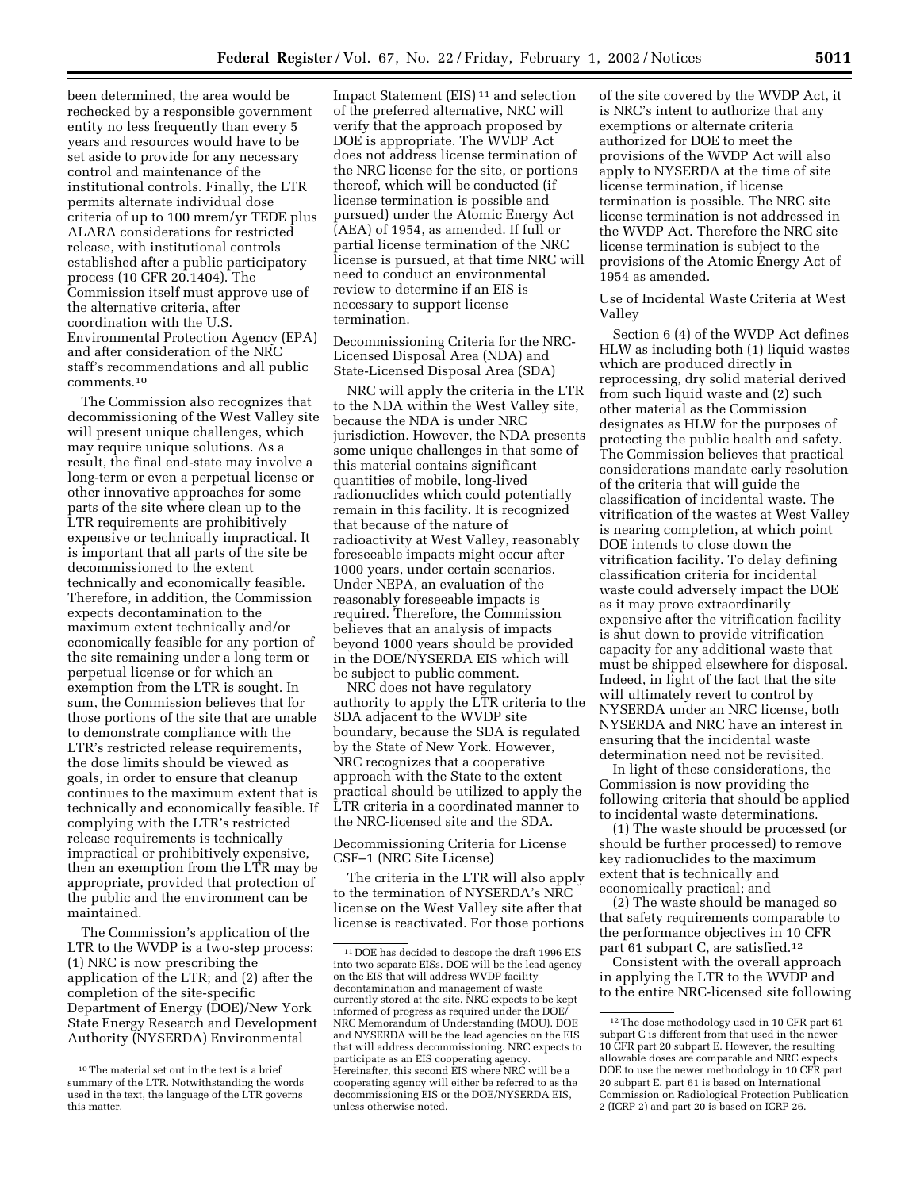been determined, the area would be rechecked by a responsible government entity no less frequently than every 5 years and resources would have to be set aside to provide for any necessary control and maintenance of the institutional controls. Finally, the LTR permits alternate individual dose criteria of up to 100 mrem/yr TEDE plus ALARA considerations for restricted release, with institutional controls established after a public participatory process (10 CFR 20.1404). The Commission itself must approve use of the alternative criteria, after coordination with the U.S. Environmental Protection Agency (EPA) and after consideration of the NRC staff's recommendations and all public comments.10

The Commission also recognizes that decommissioning of the West Valley site will present unique challenges, which may require unique solutions. As a result, the final end-state may involve a long-term or even a perpetual license or other innovative approaches for some parts of the site where clean up to the LTR requirements are prohibitively expensive or technically impractical. It is important that all parts of the site be decommissioned to the extent technically and economically feasible. Therefore, in addition, the Commission expects decontamination to the maximum extent technically and/or economically feasible for any portion of the site remaining under a long term or perpetual license or for which an exemption from the LTR is sought. In sum, the Commission believes that for those portions of the site that are unable to demonstrate compliance with the LTR's restricted release requirements, the dose limits should be viewed as goals, in order to ensure that cleanup continues to the maximum extent that is technically and economically feasible. If complying with the LTR's restricted release requirements is technically impractical or prohibitively expensive, then an exemption from the LTR may be appropriate, provided that protection of the public and the environment can be maintained.

The Commission's application of the LTR to the WVDP is a two-step process: (1) NRC is now prescribing the application of the LTR; and (2) after the completion of the site-specific Department of Energy (DOE)/New York State Energy Research and Development Authority (NYSERDA) Environmental

Impact Statement (EIS)<sup>11</sup> and selection of the preferred alternative, NRC will verify that the approach proposed by DOE is appropriate. The WVDP Act does not address license termination of the NRC license for the site, or portions thereof, which will be conducted (if license termination is possible and pursued) under the Atomic Energy Act (AEA) of 1954, as amended. If full or partial license termination of the NRC license is pursued, at that time NRC will need to conduct an environmental review to determine if an EIS is necessary to support license termination.

Decommissioning Criteria for the NRC-Licensed Disposal Area (NDA) and State-Licensed Disposal Area (SDA)

NRC will apply the criteria in the LTR to the NDA within the West Valley site, because the NDA is under NRC jurisdiction. However, the NDA presents some unique challenges in that some of this material contains significant quantities of mobile, long-lived radionuclides which could potentially remain in this facility. It is recognized that because of the nature of radioactivity at West Valley, reasonably foreseeable impacts might occur after 1000 years, under certain scenarios. Under NEPA, an evaluation of the reasonably foreseeable impacts is required. Therefore, the Commission believes that an analysis of impacts beyond 1000 years should be provided in the DOE/NYSERDA EIS which will be subject to public comment.

NRC does not have regulatory authority to apply the LTR criteria to the SDA adjacent to the WVDP site boundary, because the SDA is regulated by the State of New York. However, NRC recognizes that a cooperative approach with the State to the extent practical should be utilized to apply the LTR criteria in a coordinated manner to the NRC-licensed site and the SDA.

Decommissioning Criteria for License CSF–1 (NRC Site License)

The criteria in the LTR will also apply to the termination of NYSERDA's NRC license on the West Valley site after that license is reactivated. For those portions

of the site covered by the WVDP Act, it is NRC's intent to authorize that any exemptions or alternate criteria authorized for DOE to meet the provisions of the WVDP Act will also apply to NYSERDA at the time of site license termination, if license termination is possible. The NRC site license termination is not addressed in the WVDP Act. Therefore the NRC site license termination is subject to the provisions of the Atomic Energy Act of 1954 as amended.

Use of Incidental Waste Criteria at West Valley

Section 6 (4) of the WVDP Act defines HLW as including both (1) liquid wastes which are produced directly in reprocessing, dry solid material derived from such liquid waste and (2) such other material as the Commission designates as HLW for the purposes of protecting the public health and safety. The Commission believes that practical considerations mandate early resolution of the criteria that will guide the classification of incidental waste. The vitrification of the wastes at West Valley is nearing completion, at which point DOE intends to close down the vitrification facility. To delay defining classification criteria for incidental waste could adversely impact the DOE as it may prove extraordinarily expensive after the vitrification facility is shut down to provide vitrification capacity for any additional waste that must be shipped elsewhere for disposal. Indeed, in light of the fact that the site will ultimately revert to control by NYSERDA under an NRC license, both NYSERDA and NRC have an interest in ensuring that the incidental waste determination need not be revisited.

In light of these considerations, the Commission is now providing the following criteria that should be applied to incidental waste determinations.

(1) The waste should be processed (or should be further processed) to remove key radionuclides to the maximum extent that is technically and economically practical; and

(2) The waste should be managed so that safety requirements comparable to the performance objectives in 10 CFR part 61 subpart C, are satisfied.12

Consistent with the overall approach in applying the LTR to the WVDP and to the entire NRC-licensed site following

<sup>10</sup>The material set out in the text is a brief summary of the LTR. Notwithstanding the words used in the text, the language of the LTR governs this matter.

<sup>11</sup> DOE has decided to descope the draft 1996 EIS into two separate EISs. DOE will be the lead agency on the EIS that will address WVDP facility decontamination and management of waste currently stored at the site. NRC expects to be kept informed of progress as required under the DOE/ NRC Memorandum of Understanding (MOU). DOE and NYSERDA will be the lead agencies on the EIS that will address decommissioning. NRC expects to participate as an EIS cooperating agency. Hereinafter, this second EIS where NRC will be a cooperating agency will either be referred to as the decommissioning EIS or the DOE/NYSERDA EIS, unless otherwise noted.

<sup>12</sup>The dose methodology used in 10 CFR part 61 subpart C is different from that used in the newer 10 CFR part 20 subpart E. However, the resulting allowable doses are comparable and NRC expects DOE to use the newer methodology in 10 CFR part 20 subpart E. part 61 is based on International Commission on Radiological Protection Publication 2 (ICRP 2) and part 20 is based on ICRP 26.